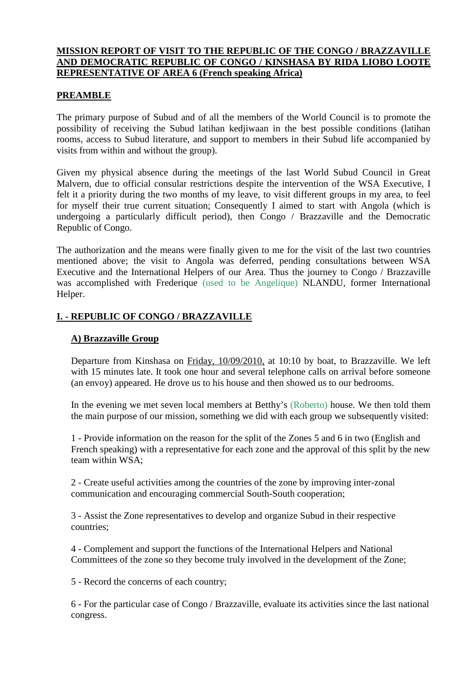### **MISSION REPORT OF VISIT TO THE REPUBLIC OF THE CONGO / BRAZZAVILLE AND DEMOCRATIC REPUBLIC OF CONGO / KINSHASA BY RIDA LIOBO LOOTE REPRESENTATIVE OF AREA 6 (French speaking Africa)**

### **PREAMBLE**

The primary purpose of Subud and of all the members of the World Council is to promote the possibility of receiving the Subud latihan kedjiwaan in the best possible conditions (latihan rooms, access to Subud literature, and support to members in their Subud life accompanied by visits from within and without the group).

Given my physical absence during the meetings of the last World Subud Council in Great Malvern, due to official consular restrictions despite the intervention of the WSA Executive, I felt it a priority during the two months of my leave, to visit different groups in my area, to feel for myself their true current situation; Consequently I aimed to start with Angola (which is undergoing a particularly difficult period), then Congo / Brazzaville and the Democratic Republic of Congo.

The authorization and the means were finally given to me for the visit of the last two countries mentioned above; the visit to Angola was deferred, pending consultations between WSA Executive and the International Helpers of our Area. Thus the journey to Congo / Brazzaville was accomplished with Frederique (used to be Angelique) NLANDU, former International Helper.

# **I. - REPUBLIC OF CONGO / BRAZZAVILLE**

# **A) Brazzaville Group**

Departure from Kinshasa on Friday, 10/09/2010, at 10:10 by boat, to Brazzaville. We left with 15 minutes late. It took one hour and several telephone calls on arrival before someone (an envoy) appeared. He drove us to his house and then showed us to our bedrooms.

In the evening we met seven local members at Betthy's (Roberto) house. We then told them the main purpose of our mission, something we did with each group we subsequently visited:

1 - Provide information on the reason for the split of the Zones 5 and 6 in two (English and French speaking) with a representative for each zone and the approval of this split by the new team within WSA;

2 - Create useful activities among the countries of the zone by improving inter-zonal communication and encouraging commercial South-South cooperation;

3 - Assist the Zone representatives to develop and organize Subud in their respective countries;

4 - Complement and support the functions of the International Helpers and National Committees of the zone so they become truly involved in the development of the Zone;

5 - Record the concerns of each country;

6 - For the particular case of Congo / Brazzaville, evaluate its activities since the last national congress.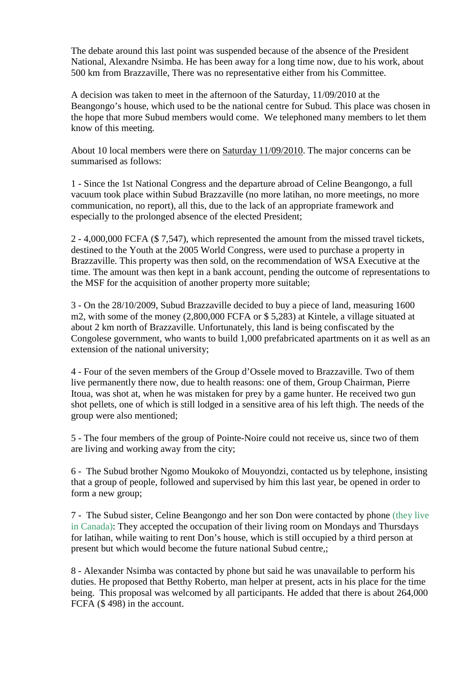The debate around this last point was suspended because of the absence of the President National, Alexandre Nsimba. He has been away for a long time now, due to his work, about 500 km from Brazzaville, There was no representative either from his Committee.

A decision was taken to meet in the afternoon of the Saturday, 11/09/2010 at the Beangongo's house, which used to be the national centre for Subud. This place was chosen in the hope that more Subud members would come. We telephoned many members to let them know of this meeting.

About 10 local members were there on Saturday 11/09/2010. The major concerns can be summarised as follows:

1 - Since the 1st National Congress and the departure abroad of Celine Beangongo, a full vacuum took place within Subud Brazzaville (no more latihan, no more meetings, no more communication, no report), all this, due to the lack of an appropriate framework and especially to the prolonged absence of the elected President;

2 - 4,000,000 FCFA (\$ 7,547), which represented the amount from the missed travel tickets, destined to the Youth at the 2005 World Congress, were used to purchase a property in Brazzaville. This property was then sold, on the recommendation of WSA Executive at the time. The amount was then kept in a bank account, pending the outcome of representations to the MSF for the acquisition of another property more suitable;

3 - On the 28/10/2009, Subud Brazzaville decided to buy a piece of land, measuring 1600 m2, with some of the money (2,800,000 FCFA or \$ 5,283) at Kintele, a village situated at about 2 km north of Brazzaville. Unfortunately, this land is being confiscated by the Congolese government, who wants to build 1,000 prefabricated apartments on it as well as an extension of the national university;

4 - Four of the seven members of the Group d'Ossele moved to Brazzaville. Two of them live permanently there now, due to health reasons: one of them, Group Chairman, Pierre Itoua, was shot at, when he was mistaken for prey by a game hunter. He received two gun shot pellets, one of which is still lodged in a sensitive area of his left thigh. The needs of the group were also mentioned;

5 - The four members of the group of Pointe-Noire could not receive us, since two of them are living and working away from the city;

6 - The Subud brother Ngomo Moukoko of Mouyondzi, contacted us by telephone, insisting that a group of people, followed and supervised by him this last year, be opened in order to form a new group;

7 - The Subud sister, Celine Beangongo and her son Don were contacted by phone (they live in Canada): They accepted the occupation of their living room on Mondays and Thursdays for latihan, while waiting to rent Don's house, which is still occupied by a third person at present but which would become the future national Subud centre,;

8 - Alexander Nsimba was contacted by phone but said he was unavailable to perform his duties. He proposed that Betthy Roberto, man helper at present, acts in his place for the time being. This proposal was welcomed by all participants. He added that there is about 264,000 FCFA (\$ 498) in the account.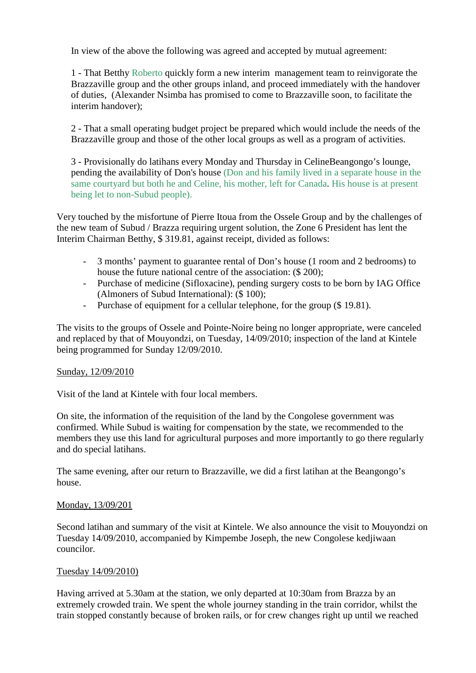In view of the above the following was agreed and accepted by mutual agreement:

1 - That Betthy Roberto quickly form a new interim management team to reinvigorate the Brazzaville group and the other groups inland, and proceed immediately with the handover of duties, (Alexander Nsimba has promised to come to Brazzaville soon, to facilitate the interim handover);

2 - That a small operating budget project be prepared which would include the needs of the Brazzaville group and those of the other local groups as well as a program of activities.

3 - Provisionally do latihans every Monday and Thursday in CelineBeangongo's lounge, pending the availability of Don's house (Don and his family lived in a separate house in the same courtyard but both he and Celine, his mother, left for Canada. His house is at present being let to non-Subud people).

Very touched by the misfortune of Pierre Itoua from the Ossele Group and by the challenges of the new team of Subud / Brazza requiring urgent solution, the Zone 6 President has lent the Interim Chairman Betthy, \$ 319.81, against receipt, divided as follows:

- 3 months' payment to guarantee rental of Don's house (1 room and 2 bedrooms) to house the future national centre of the association: (\$ 200);
- Purchase of medicine (Sifloxacine), pending surgery costs to be born by IAG Office (Almoners of Subud International): (\$ 100);
- Purchase of equipment for a cellular telephone, for the group (\$19.81).

The visits to the groups of Ossele and Pointe-Noire being no longer appropriate, were canceled and replaced by that of Mouyondzi, on Tuesday, 14/09/2010; inspection of the land at Kintele being programmed for Sunday 12/09/2010.

### Sunday, 12/09/2010

Visit of the land at Kintele with four local members.

On site, the information of the requisition of the land by the Congolese government was confirmed. While Subud is waiting for compensation by the state, we recommended to the members they use this land for agricultural purposes and more importantly to go there regularly and do special latihans.

The same evening, after our return to Brazzaville, we did a first latihan at the Beangongo's house.

### Monday, 13/09/201

Second latihan and summary of the visit at Kintele. We also announce the visit to Mouyondzi on Tuesday 14/09/2010, accompanied by Kimpembe Joseph, the new Congolese kedjiwaan councilor.

### Tuesday 14/09/2010)

Having arrived at 5.30am at the station, we only departed at 10:30am from Brazza by an extremely crowded train. We spent the whole journey standing in the train corridor, whilst the train stopped constantly because of broken rails, or for crew changes right up until we reached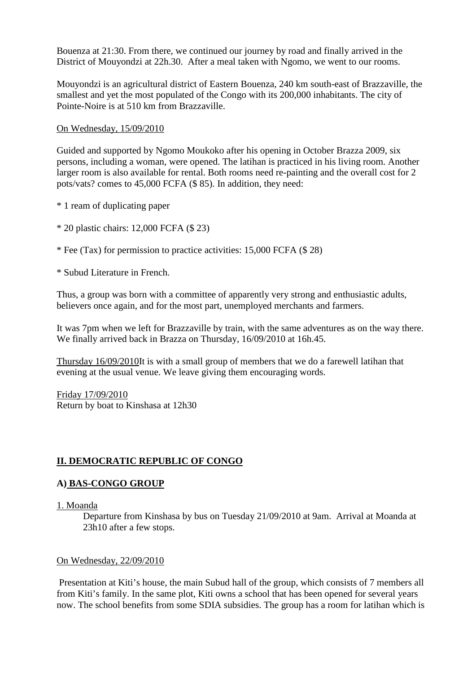Bouenza at 21:30. From there, we continued our journey by road and finally arrived in the District of Mouyondzi at 22h.30. After a meal taken with Ngomo, we went to our rooms.

Mouyondzi is an agricultural district of Eastern Bouenza, 240 km south-east of Brazzaville, the smallest and yet the most populated of the Congo with its 200,000 inhabitants. The city of Pointe-Noire is at 510 km from Brazzaville.

### On Wednesday, 15/09/2010

Guided and supported by Ngomo Moukoko after his opening in October Brazza 2009, six persons, including a woman, were opened. The latihan is practiced in his living room. Another larger room is also available for rental. Both rooms need re-painting and the overall cost for 2 pots/vats? comes to 45,000 FCFA (\$ 85). In addition, they need:

\* 1 ream of duplicating paper

\* 20 plastic chairs: 12,000 FCFA (\$ 23)

\* Fee (Tax) for permission to practice activities: 15,000 FCFA (\$ 28)

\* Subud Literature in French.

Thus, a group was born with a committee of apparently very strong and enthusiastic adults, believers once again, and for the most part, unemployed merchants and farmers.

It was 7pm when we left for Brazzaville by train, with the same adventures as on the way there. We finally arrived back in Brazza on Thursday, 16/09/2010 at 16h.45.

Thursday 16/09/2010It is with a small group of members that we do a farewell latihan that evening at the usual venue. We leave giving them encouraging words.

Friday 17/09/2010 Return by boat to Kinshasa at 12h30

# **II. DEMOCRATIC REPUBLIC OF CONGO**

# **A) BAS-CONGO GROUP**

### 1. Moanda

Departure from Kinshasa by bus on Tuesday 21/09/2010 at 9am. Arrival at Moanda at 23h10 after a few stops.

### On Wednesday, 22/09/2010

Presentation at Kiti's house, the main Subud hall of the group, which consists of 7 members all from Kiti's family. In the same plot, Kiti owns a school that has been opened for several years now. The school benefits from some SDIA subsidies. The group has a room for latihan which is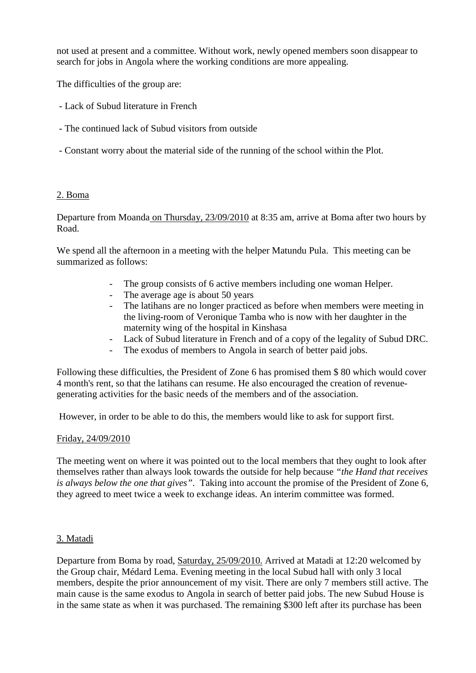not used at present and a committee. Without work, newly opened members soon disappear to search for jobs in Angola where the working conditions are more appealing.

The difficulties of the group are:

- Lack of Subud literature in French
- The continued lack of Subud visitors from outside
- Constant worry about the material side of the running of the school within the Plot.

### 2. Boma

Departure from Moanda on Thursday, 23/09/2010 at 8:35 am, arrive at Boma after two hours by Road.

We spend all the afternoon in a meeting with the helper Matundu Pula. This meeting can be summarized as follows:

- The group consists of 6 active members including one woman Helper.
- The average age is about 50 years
- The latihans are no longer practiced as before when members were meeting in the living-room of Veronique Tamba who is now with her daughter in the maternity wing of the hospital in Kinshasa
- Lack of Subud literature in French and of a copy of the legality of Subud DRC.
- The exodus of members to Angola in search of better paid jobs.

Following these difficulties, the President of Zone 6 has promised them \$ 80 which would cover 4 month's rent, so that the latihans can resume. He also encouraged the creation of revenuegenerating activities for the basic needs of the members and of the association.

However, in order to be able to do this, the members would like to ask for support first.

### Friday, 24/09/2010

The meeting went on where it was pointed out to the local members that they ought to look after themselves rather than always look towards the outside for help because *"the Hand that receives is always below the one that gives"*. Taking into account the promise of the President of Zone 6, they agreed to meet twice a week to exchange ideas. An interim committee was formed.

# 3. Matadi

Departure from Boma by road, Saturday, 25/09/2010. Arrived at Matadi at 12:20 welcomed by the Group chair, Médard Lema. Evening meeting in the local Subud hall with only 3 local members, despite the prior announcement of my visit. There are only 7 members still active. The main cause is the same exodus to Angola in search of better paid jobs. The new Subud House is in the same state as when it was purchased. The remaining \$300 left after its purchase has been